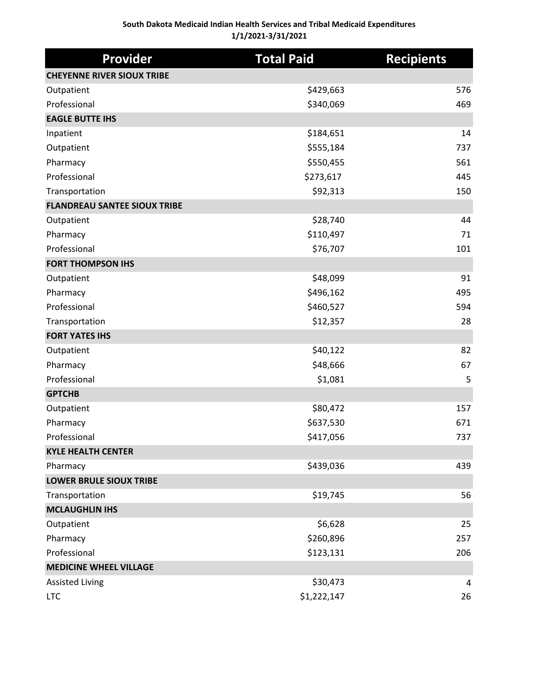| <b>Provider</b>                     | <b>Total Paid</b> | <b>Recipients</b> |
|-------------------------------------|-------------------|-------------------|
| <b>CHEYENNE RIVER SIOUX TRIBE</b>   |                   |                   |
| Outpatient                          | \$429,663         | 576               |
| Professional                        | \$340,069         | 469               |
| <b>EAGLE BUTTE IHS</b>              |                   |                   |
| Inpatient                           | \$184,651         | 14                |
| Outpatient                          | \$555,184         | 737               |
| Pharmacy                            | \$550,455         | 561               |
| Professional                        | \$273,617         | 445               |
| Transportation                      | \$92,313          | 150               |
| <b>FLANDREAU SANTEE SIOUX TRIBE</b> |                   |                   |
| Outpatient                          | \$28,740          | 44                |
| Pharmacy                            | \$110,497         | 71                |
| Professional                        | \$76,707          | 101               |
| <b>FORT THOMPSON IHS</b>            |                   |                   |
| Outpatient                          | \$48,099          | 91                |
| Pharmacy                            | \$496,162         | 495               |
| Professional                        | \$460,527         | 594               |
| Transportation                      | \$12,357          | 28                |
| <b>FORT YATES IHS</b>               |                   |                   |
| Outpatient                          | \$40,122          | 82                |
| Pharmacy                            | \$48,666          | 67                |
| Professional                        | \$1,081           | 5                 |
| <b>GPTCHB</b>                       |                   |                   |
| Outpatient                          | \$80,472          | 157               |
| Pharmacy                            | \$637,530         | 671               |
| Professional                        | \$417,056         | 737               |
| <b>KYLE HEALTH CENTER</b>           |                   |                   |
| Pharmacy                            | \$439,036         | 439               |
| <b>LOWER BRULE SIOUX TRIBE</b>      |                   |                   |
| Transportation                      | \$19,745          | 56                |
| <b>MCLAUGHLIN IHS</b>               |                   |                   |
| Outpatient                          | \$6,628           | 25                |
| Pharmacy                            | \$260,896         | 257               |
| Professional                        | \$123,131         | 206               |
| <b>MEDICINE WHEEL VILLAGE</b>       |                   |                   |
| <b>Assisted Living</b>              | \$30,473          | 4                 |
| <b>LTC</b>                          | \$1,222,147       | 26                |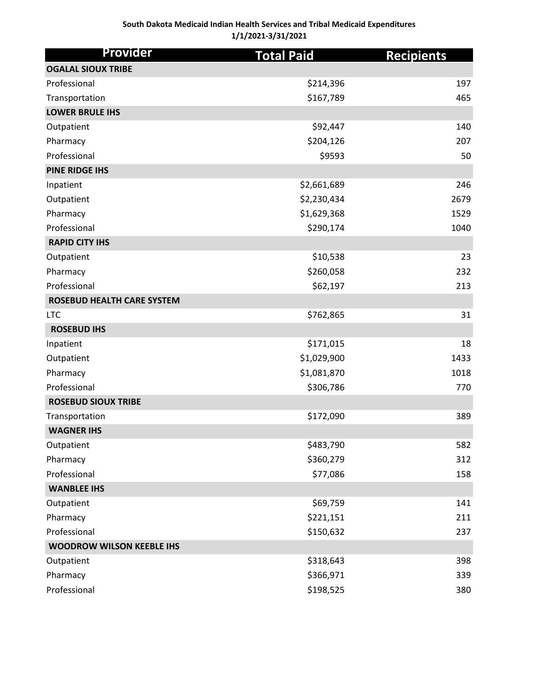## **South Dakota Medicaid Indian Health Services and Tribal Medicaid Expenditures 1/1/2021-3/31/2021**

| <b>Provider</b>                   | <b>Total Paid</b> | <b>Recipients</b> |
|-----------------------------------|-------------------|-------------------|
| <b>OGALAL SIOUX TRIBE</b>         |                   |                   |
| Professional                      | \$214,396         | 197               |
| Transportation                    | \$167,789         | 465               |
| <b>LOWER BRULE IHS</b>            |                   |                   |
| Outpatient                        | \$92,447          | 140               |
| Pharmacy                          | \$204,126         | 207               |
| Professional                      | \$9593            | 50                |
| <b>PINE RIDGE IHS</b>             |                   |                   |
| Inpatient                         | \$2,661,689       | 246               |
| Outpatient                        | \$2,230,434       | 2679              |
| Pharmacy                          | \$1,629,368       | 1529              |
| Professional                      | \$290,174         | 1040              |
| <b>RAPID CITY IHS</b>             |                   |                   |
| Outpatient                        | \$10,538          | 23                |
| Pharmacy                          | \$260,058         | 232               |
| Professional                      | \$62,197          | 213               |
| <b>ROSEBUD HEALTH CARE SYSTEM</b> |                   |                   |
| <b>LTC</b>                        | \$762,865         | 31                |
| <b>ROSEBUD IHS</b>                |                   |                   |
| Inpatient                         | \$171,015         | 18                |
| Outpatient                        | \$1,029,900       | 1433              |
| Pharmacy                          | \$1,081,870       | 1018              |
| Professional                      | \$306,786         | 770               |
| <b>ROSEBUD SIOUX TRIBE</b>        |                   |                   |
| Transportation                    | \$172,090         | 389               |
| <b>WAGNER IHS</b>                 |                   |                   |
| Outpatient                        | \$483,790         | 582               |
| Pharmacy                          | \$360,279         | 312               |
| Professional                      | \$77,086          | 158               |
| <b>WANBLEE IHS</b>                |                   |                   |
| Outpatient                        | \$69,759          | 141               |
| Pharmacy                          | \$221,151         | 211               |
| Professional                      | \$150,632         | 237               |
| <b>WOODROW WILSON KEEBLE IHS</b>  |                   |                   |
| Outpatient                        | \$318,643         | 398               |
| Pharmacy                          | \$366,971         | 339               |
| Professional                      | \$198,525         | 380               |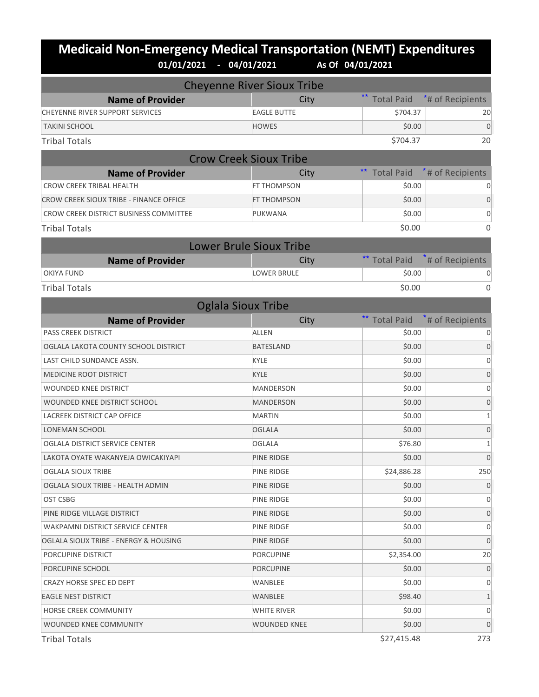## **Medicaid Non-Emergency Medical Transportation (NEMT) Expenditures**<br>01/01/2021 - 04/01/2021 As of 04/01/2021 **01/01/2021 - 04/01/2021 As Of 04/01/2021**

|                                         | <b>Cheyenne River Sioux Tribe</b> |                            |                  |
|-----------------------------------------|-----------------------------------|----------------------------|------------------|
| <b>Name of Provider</b>                 | City                              | $***$<br><b>Total Paid</b> | *# of Recipients |
| CHEYENNE RIVER SUPPORT SERVICES         | <b>EAGLE BUTTE</b>                | \$704.37                   | 20               |
| <b>TAKINI SCHOOL</b>                    | <b>HOWES</b>                      | \$0.00                     | $\mathbf 0$      |
| <b>Tribal Totals</b>                    |                                   | \$704.37                   | 20               |
| <b>Crow Creek Sioux Tribe</b>           |                                   |                            |                  |
| <b>Name of Provider</b>                 | City                              | <b>Total Paid</b>          | *# of Recipients |
| <b>CROW CREEK TRIBAL HEALTH</b>         | FT THOMPSON                       | \$0.00                     |                  |
| CROW CREEK SIOUX TRIBE - FINANCE OFFICE | FT THOMPSON                       | \$0.00                     | $\mathbf 0$      |
| CROW CREEK DISTRICT BUSINESS COMMITTEE  | PUKWANA                           | \$0.00                     | 0                |
| <b>Tribal Totals</b>                    |                                   | \$0.00                     | $\Omega$         |
|                                         | <b>Lower Brule Sioux Tribe</b>    |                            |                  |
| <b>Name of Provider</b>                 | City                              | ** Total Paid              | # of Recipients  |
| <b>OKIYA FUND</b>                       | <b>LOWER BRULE</b>                | \$0.00                     | 0                |
| <b>Tribal Totals</b>                    |                                   | \$0.00                     | $\Omega$         |
| <b>Oglala Sioux Tribe</b>               |                                   |                            |                  |
| <b>Name of Provider</b>                 | City                              | <b>Total Paid</b>          | # of Recipients  |
| <b>PASS CREEK DISTRICT</b>              | <b>ALLEN</b>                      | \$0.00                     |                  |
| OGLALA LAKOTA COUNTY SCHOOL DISTRICT    | <b>BATESLAND</b>                  | \$0.00                     | $\mathbf 0$      |
| LAST CHILD SUNDANCE ASSN.               | KYLE                              | \$0.00                     | 0                |
| MEDICINE ROOT DISTRICT                  | <b>KYLE</b>                       | \$0.00                     | $\mathbf 0$      |
| <b>WOUNDED KNEE DISTRICT</b>            | <b>MANDERSON</b>                  | \$0.00                     | 0                |
| WOUNDED KNEE DISTRICT SCHOOL            | <b>MANDERSON</b>                  | \$0.00                     | $\mathbf 0$      |
| LACREEK DISTRICT CAP OFFICE             | <b>MARTIN</b>                     | \$0.00                     | $\mathbf{1}$     |
| <b>LONEMAN SCHOOL</b>                   | <b>OGLALA</b>                     | \$0.00                     | 0                |
| OGLALA DISTRICT SERVICE CENTER          | <b>OGLALA</b>                     | \$76.80                    | $\mathbf{1}$     |
| LAKOTA OYATE WAKANYEJA OWICAKIYAPI      | PINE RIDGE                        | \$0.00                     | $\mathbf 0$      |
| OGLALA SIOUX TRIBE                      | PINE RIDGE                        | \$24,886.28                | 250              |
| OGLALA SIOUX TRIBE - HEALTH ADMIN       | PINE RIDGE                        | \$0.00                     | $\mathbf 0$      |
| OST CSBG                                | PINE RIDGE                        | \$0.00                     | 0                |
| PINE RIDGE VILLAGE DISTRICT             | PINE RIDGE                        | \$0.00                     | $\mathbf 0$      |
| WAKPAMNI DISTRICT SERVICE CENTER        | PINE RIDGE                        | \$0.00                     | 0                |
| OGLALA SIOUX TRIBE - ENERGY & HOUSING   | PINE RIDGE                        | \$0.00                     | 0                |
| PORCUPINE DISTRICT                      | <b>PORCUPINE</b>                  | \$2,354.00                 | 20               |
| PORCUPINE SCHOOL                        | <b>PORCUPINE</b>                  | \$0.00                     | 0                |
| CRAZY HORSE SPEC ED DEPT                | WANBLEE                           | \$0.00                     | 0                |
| <b>EAGLE NEST DISTRICT</b>              | WANBLEE                           | \$98.40                    | $\mathbf{1}$     |
| HORSE CREEK COMMUNITY                   | WHITE RIVER                       | \$0.00                     | 0                |
| WOUNDED KNEE COMMUNITY                  | <b>WOUNDED KNEE</b>               | \$0.00                     | 0                |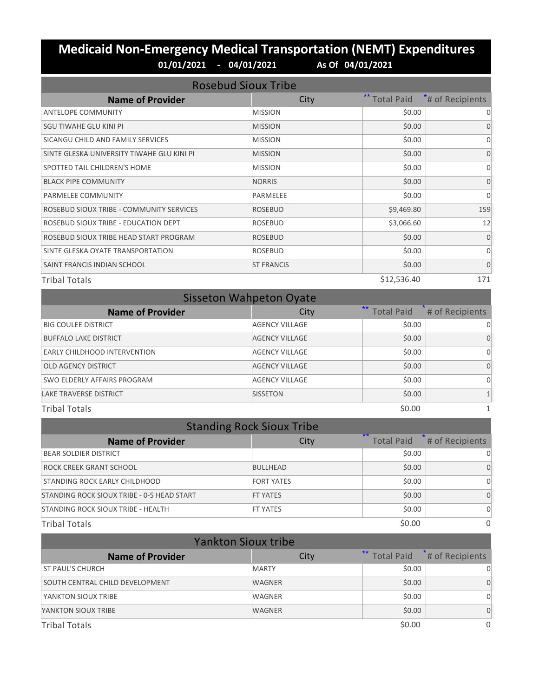## **Medicaid Non-Emergency Medical Transportation (NEMT) Expenditures 01/01/2021 - 04/01/2021 As Of 04/01/2021**

| <b>Rosebud Sioux Tribe</b>                 |                   |                   |                  |
|--------------------------------------------|-------------------|-------------------|------------------|
| <b>Name of Provider</b>                    | City              | <b>Total Paid</b> | *# of Recipients |
| <b>ANTELOPE COMMUNITY</b>                  | <b>MISSION</b>    | \$0.00            | 0                |
| SGU TIWAHE GLU KINI PI                     | <b>MISSION</b>    | \$0.00            | $\Omega$         |
| SICANGU CHILD AND FAMILY SERVICES          | <b>MISSION</b>    | \$0.00            | $\Omega$         |
| SINTE GLESKA UNIVERSITY TIWAHE GLU KINI PI | <b>MISSION</b>    | \$0.00            | $\Omega$         |
| SPOTTED TAIL CHILDREN'S HOME               | <b>MISSION</b>    | \$0.00            | $\Omega$         |
| <b>BLACK PIPE COMMUNITY</b>                | <b>NORRIS</b>     | \$0.00            | $\Omega$         |
| PARMELEE COMMUNITY                         | <b>PARMELEE</b>   | \$0.00            | $\Omega$         |
| ROSEBUD SIOUX TRIBE - COMMUNITY SERVICES   | <b>ROSEBUD</b>    | \$9,469.80        | 159              |
| ROSEBUD SIOUX TRIBE - EDUCATION DEPT       | <b>ROSEBUD</b>    | \$3,066.60        | 12               |
| ROSEBUD SIOUX TRIBE HEAD START PROGRAM     | <b>ROSEBUD</b>    | \$0.00            | $\Omega$         |
| SINTE GLESKA OYATE TRANSPORTATION          | <b>ROSEBUD</b>    | \$0.00            | $\Omega$         |
| SAINT FRANCIS INDIAN SCHOOL                | <b>ST FRANCIS</b> | \$0.00            | $\Omega$         |
| <b>Tribal Totals</b>                       |                   | \$12,536.40       | 171              |

| <b>Sisseton Wahpeton Oyate</b> |                       |                      |                 |
|--------------------------------|-----------------------|----------------------|-----------------|
| <b>Name of Provider</b>        | City                  | <b>**</b> Total Paid | # of Recipients |
| <b>BIG COULEE DISTRICT</b>     | <b>AGENCY VILLAGE</b> | \$0.00               |                 |
| <b>BUFFALO LAKE DISTRICT</b>   | <b>AGENCY VILLAGE</b> | \$0.00               | $\Omega$        |
| EARLY CHILDHOOD INTERVENTION   | <b>AGENCY VILLAGE</b> | \$0.00               | 0               |
| <b>OLD AGENCY DISTRICT</b>     | <b>AGENCY VILLAGE</b> | \$0.00               | $\Omega$        |
| SWO ELDERLY AFFAIRS PROGRAM    | <b>AGENCY VILLAGE</b> | \$0.00               |                 |
| <b>LAKE TRAVERSE DISTRICT</b>  | <b>SISSETON</b>       | \$0.00               |                 |
| <b>Tribal Totals</b>           |                       | \$0.00               |                 |

| <b>Standing Rock Sioux Tribe</b>           |                   |                           |                 |
|--------------------------------------------|-------------------|---------------------------|-----------------|
| <b>Name of Provider</b>                    | City              | $**$<br><b>Total Paid</b> | # of Recipients |
| <b>BEAR SOLDIER DISTRICT</b>               |                   | \$0.00                    | O               |
| ROCK CREEK GRANT SCHOOL                    | <b>BULLHEAD</b>   | \$0.00                    | 0               |
| STANDING ROCK EARLY CHILDHOOD              | <b>FORT YATES</b> | \$0.00                    | O               |
| STANDING ROCK SIOUX TRIBE - 0-5 HEAD START | <b>FT YATES</b>   | \$0.00                    | $\Omega$        |
| STANDING ROCK SIOUX TRIBE - HEALTH         | <b>FT YATES</b>   | \$0.00                    | $\Omega$        |
| <b>Tribal Totals</b>                       |                   | \$0.00                    | 0               |

| <b>Yankton Sioux tribe</b>      |               |                      |                     |
|---------------------------------|---------------|----------------------|---------------------|
| <b>Name of Provider</b>         | City          | <b>**</b> Total Paid | $*$ # of Recipients |
| <b>ST PAUL'S CHURCH</b>         | <b>MARTY</b>  | \$0.00               | 0                   |
| SOUTH CENTRAL CHILD DEVELOPMENT | <b>WAGNER</b> | \$0.00               | $\Omega$            |
| YANKTON SIOUX TRIBE             | WAGNER        | \$0.00               | O                   |
| YANKTON SIOUX TRIBE             | <b>WAGNER</b> | \$0.00               | $\Omega$            |
| <b>Tribal Totals</b>            |               | \$0.00               | $\Omega$            |